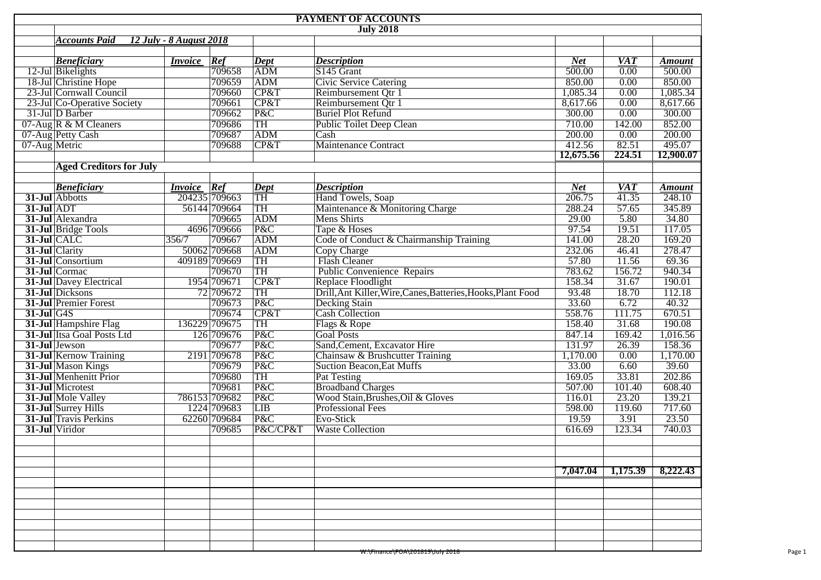|               |                                |                         |               |                        | <b>PAYMENT OF ACCOUNTS</b>                                   |            |                              |               |  |  |
|---------------|--------------------------------|-------------------------|---------------|------------------------|--------------------------------------------------------------|------------|------------------------------|---------------|--|--|
|               | <b>July 2018</b>               |                         |               |                        |                                                              |            |                              |               |  |  |
|               | <b>Accounts Paid</b>           | 12 July - 8 August 2018 |               |                        |                                                              |            |                              |               |  |  |
|               |                                |                         |               |                        |                                                              |            |                              |               |  |  |
|               | <b>Beneficiary</b>             | <i>Invoice</i>          | Ref           | <b>Dept</b>            | <b>Description</b>                                           | <b>Net</b> | <b>VAT</b>                   | <b>Amount</b> |  |  |
|               | 12-Jul Bikelights              |                         | 709658        | ADM                    | S145 Grant<br>500.00<br>0.00                                 |            | 500.00                       |               |  |  |
|               | 18-Jul Christine Hope          |                         | 709659        | <b>ADM</b>             | 850.00<br>0.00<br>850.00<br><b>Civic Service Catering</b>    |            |                              |               |  |  |
|               | 23-Jul Cornwall Council        |                         | 709660        | CP&T                   | Reimbursement Qtr 1<br>1,085.34<br>0.00<br>1,085.34          |            |                              |               |  |  |
|               | 23-Jul Co-Operative Society    |                         | 709661        | CP&T                   | 0.00<br>Reimbursement Qtr 1<br>8,617.66                      |            | 8,617.66                     |               |  |  |
|               | 31-Jul D Barber                |                         | 709662        | P&C                    | <b>Buriel Plot Refund</b><br>300.00<br>0.00<br>300.00        |            |                              |               |  |  |
|               | $07$ -Aug R & M Cleaners       |                         | 709686        | TH                     | 142.00<br>Public Toilet Deep Clean<br>710.00                 |            | 852.00                       |               |  |  |
|               | 07-Aug Petty Cash              |                         | 709687        | <b>ADM</b>             | 200.00<br>Cash                                               |            | 0.00                         | 200.00        |  |  |
| 07-Aug Metric |                                |                         | 709688        | CP&T                   | <b>Maintenance Contract</b>                                  | 412.56     | 82.51                        | 495.07        |  |  |
|               |                                |                         |               |                        |                                                              | 12,675.56  | 224.51                       | 12,900.07     |  |  |
|               | <b>Aged Creditors for July</b> |                         |               |                        |                                                              |            |                              |               |  |  |
|               |                                |                         |               |                        |                                                              |            |                              |               |  |  |
|               | <b>Beneficiary</b>             | <b>Invoice</b> Ref      |               | Dept                   | <b>Description</b>                                           | <b>Net</b> | <b>VAT</b>                   | <b>Amount</b> |  |  |
|               | 31-Jul Abbotts                 |                         | 204235 709663 | TH                     | Hand Towels, Soap                                            | 206.75     | 41.35                        | 248.10        |  |  |
| $31$ -Jul ADT |                                |                         | 56144 709664  | TH                     | Maintenance & Monitoring Charge                              | 288.24     | 57.65                        | 345.89        |  |  |
|               | 31-Jul Alexandra               |                         | 709665        | ADM                    | Mens Shirts                                                  | 29.00      | 5.80                         | 34.80         |  |  |
|               | 31-Jul Bridge Tools            |                         | 4696 709666   | P&C                    | Tape & Hoses                                                 | 97.54      | 19.51                        | 117.05        |  |  |
| 31-Jul CALC   |                                | 356/7                   | 709667        | <b>ADM</b>             | Code of Conduct & Chairmanship Training                      | 141.00     | 28.20                        | 169.20        |  |  |
|               | 31-Jul Clarity                 |                         | 50062 709668  | <b>ADM</b>             | Copy Charge                                                  | 232.06     | 46.41                        | 278.47        |  |  |
|               | 31-Jul Consortium              |                         | 409189 709669 | $\overline{\text{TH}}$ | <b>Flash Cleaner</b>                                         | 57.80      | 11.56                        | 69.36         |  |  |
|               | 31-Jul Cormac                  |                         | 709670        | TH                     | <b>Public Convenience Repairs</b>                            | 783.62     | 156.72                       | 940.34        |  |  |
|               | <b>31-Jul</b> Davey Electrical |                         | 1954 709671   | CP&T                   | Replace Floodlight                                           | 158.34     | 31.67                        | 190.01        |  |  |
|               | 31-Jul Dicksons                |                         | 72 709 672    | TH                     | Drill, Ant Killer, Wire, Canes, Batteries, Hooks, Plant Food | 93.48      | 18.70                        | 112.18        |  |  |
|               | <b>31-Jul Premier Forest</b>   |                         | 709673        | P&C                    | <b>Decking Stain</b>                                         | 33.60      | 6.72                         | 40.32         |  |  |
| $31-Jul$ G4S  |                                |                         | 709674        | CP&T                   | Cash Collection                                              | 558.76     | 111.75                       | 670.51        |  |  |
|               | 31-Jul Hampshire Flag          |                         | 136229 709675 | TH                     | Flags & Rope                                                 | 158.40     | 31.68                        | 190.08        |  |  |
|               | 31-Jul Itsa Goal Posts Ltd     |                         | 126 709676    | P&C                    | Goal Posts                                                   | 847.14     | 169.42                       | 1,016.56      |  |  |
|               | 31-Jul Jewson                  |                         | 709677        | P&C                    | Sand, Cement, Excavator Hire                                 | 131.97     | 26.39                        | 158.36        |  |  |
|               | <b>31-Jul</b> Kernow Training  |                         | 2191 709678   | P&C                    | Chainsaw & Brushcutter Training                              | 1,170.00   | 0.00                         | 1,170.00      |  |  |
|               | 31-Jul Mason Kings             |                         | 709679        | P&C                    | <b>Suction Beacon, Eat Muffs</b>                             | 33.00      | 6.60                         | 39.60         |  |  |
|               | 31-Jul Menhenitt Prior         |                         | 709680        | TH                     | Pat Testing                                                  | 169.05     | 33.81                        | 202.86        |  |  |
|               | 31-Jul Microtest               |                         | 709681        | P&C                    | <b>Broadband Charges</b>                                     | 507.00     | 101.40                       | 608.40        |  |  |
|               | 31-Jul Mole Valley             |                         | 786153 709682 | P&C                    | Wood Stain, Brushes, Oil & Gloves                            | 116.01     | 23.20                        | 139.21        |  |  |
|               | 31-Jul Surrey Hills            |                         | 1224 709683   | <b>LIB</b>             | <b>Professional Fees</b>                                     | 598.00     | 119.60                       | 717.60        |  |  |
|               | <b>31-Jul</b> Travis Perkins   |                         | 62260 709684  | P&C                    | Evo-Stick                                                    | 19.59      | 3.91                         | 23.50         |  |  |
|               | 31-Jul Viridor                 |                         | 709685        | P&C/CP&T               | <b>Waste Collection</b>                                      | 616.69     | 123.34                       | 740.03        |  |  |
|               |                                |                         |               |                        |                                                              |            |                              |               |  |  |
|               |                                |                         |               |                        |                                                              |            |                              |               |  |  |
|               |                                |                         |               |                        |                                                              |            |                              |               |  |  |
|               |                                |                         |               |                        |                                                              |            | $7,047.04$ 1,175.39 8,222.43 |               |  |  |
|               |                                |                         |               |                        |                                                              |            |                              |               |  |  |
|               |                                |                         |               |                        |                                                              |            |                              |               |  |  |
|               |                                |                         |               |                        |                                                              |            |                              |               |  |  |
|               |                                |                         |               |                        |                                                              |            |                              |               |  |  |
|               |                                |                         |               |                        |                                                              |            |                              |               |  |  |
|               |                                |                         |               |                        |                                                              |            |                              |               |  |  |
|               |                                |                         |               |                        |                                                              |            |                              |               |  |  |
|               |                                |                         |               |                        | <del>W:\Finance\POA\201819\July 2018</del>                   |            |                              |               |  |  |